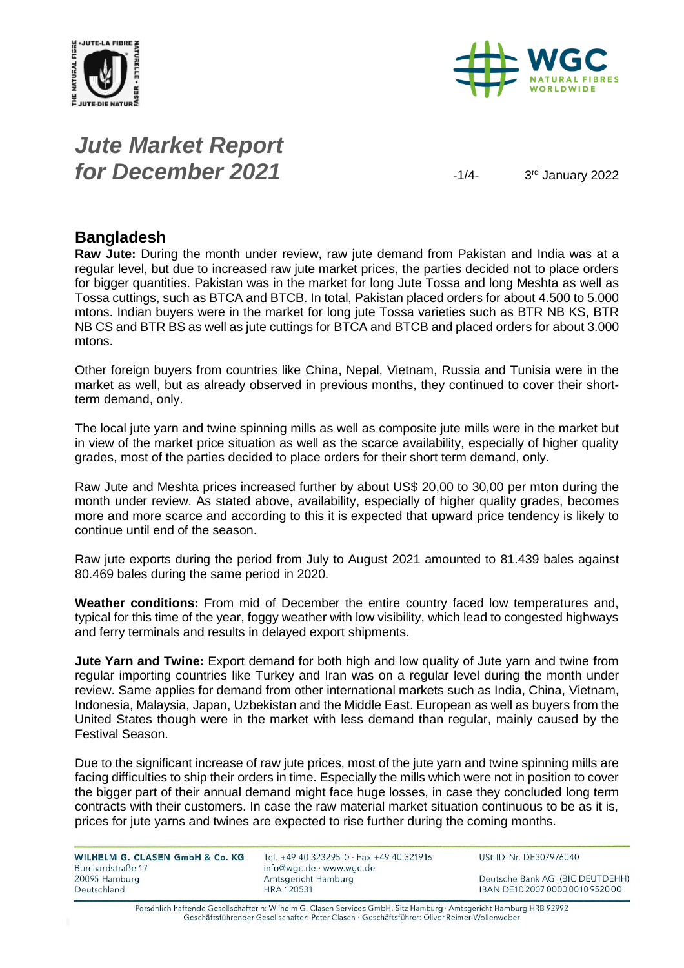



# *Jute Market Report for December 2021*  $\frac{1}{4}$

3rd January 2022

### **Bangladesh**

**Raw Jute:** During the month under review, raw jute demand from Pakistan and India was at a regular level, but due to increased raw jute market prices, the parties decided not to place orders for bigger quantities. Pakistan was in the market for long Jute Tossa and long Meshta as well as Tossa cuttings, such as BTCA and BTCB. In total, Pakistan placed orders for about 4.500 to 5.000 mtons. Indian buyers were in the market for long jute Tossa varieties such as BTR NB KS, BTR NB CS and BTR BS as well as jute cuttings for BTCA and BTCB and placed orders for about 3.000 mtons.

Other foreign buyers from countries like China, Nepal, Vietnam, Russia and Tunisia were in the market as well, but as already observed in previous months, they continued to cover their shortterm demand, only.

The local jute yarn and twine spinning mills as well as composite jute mills were in the market but in view of the market price situation as well as the scarce availability, especially of higher quality grades, most of the parties decided to place orders for their short term demand, only.

Raw Jute and Meshta prices increased further by about US\$ 20,00 to 30,00 per mton during the month under review. As stated above, availability, especially of higher quality grades, becomes more and more scarce and according to this it is expected that upward price tendency is likely to continue until end of the season.

Raw jute exports during the period from July to August 2021 amounted to 81.439 bales against 80.469 bales during the same period in 2020.

**Weather conditions:** From mid of December the entire country faced low temperatures and, typical for this time of the year, foggy weather with low visibility, which lead to congested highways and ferry terminals and results in delayed export shipments.

**Jute Yarn and Twine:** Export demand for both high and low quality of Jute yarn and twine from regular importing countries like Turkey and Iran was on a regular level during the month under review. Same applies for demand from other international markets such as India, China, Vietnam, Indonesia, Malaysia, Japan, Uzbekistan and the Middle East. European as well as buyers from the United States though were in the market with less demand than regular, mainly caused by the Festival Season.

Due to the significant increase of raw jute prices, most of the jute yarn and twine spinning mills are facing difficulties to ship their orders in time. Especially the mills which were not in position to cover the bigger part of their annual demand might face huge losses, in case they concluded long term contracts with their customers. In case the raw material market situation continuous to be as it is, prices for jute yarns and twines are expected to rise further during the coming months.

| WILHELM G. CLASEN GmbH & Co. KG<br>Burchardstraße 17 | Tel. +49 40 323295-0 · Fax +49 40 321916<br>info@wgc.de · www.wgc.de | USt-ID-Nr. DE307976040           |
|------------------------------------------------------|----------------------------------------------------------------------|----------------------------------|
| 20095 Hamburg                                        | Amtsgericht Hamburg                                                  | Deutsche Bank AG (BIC DEUTDEHH)  |
| Deutschland                                          | <b>HRA 120531</b>                                                    | IBAN DE10 2007 0000 0010 9520 00 |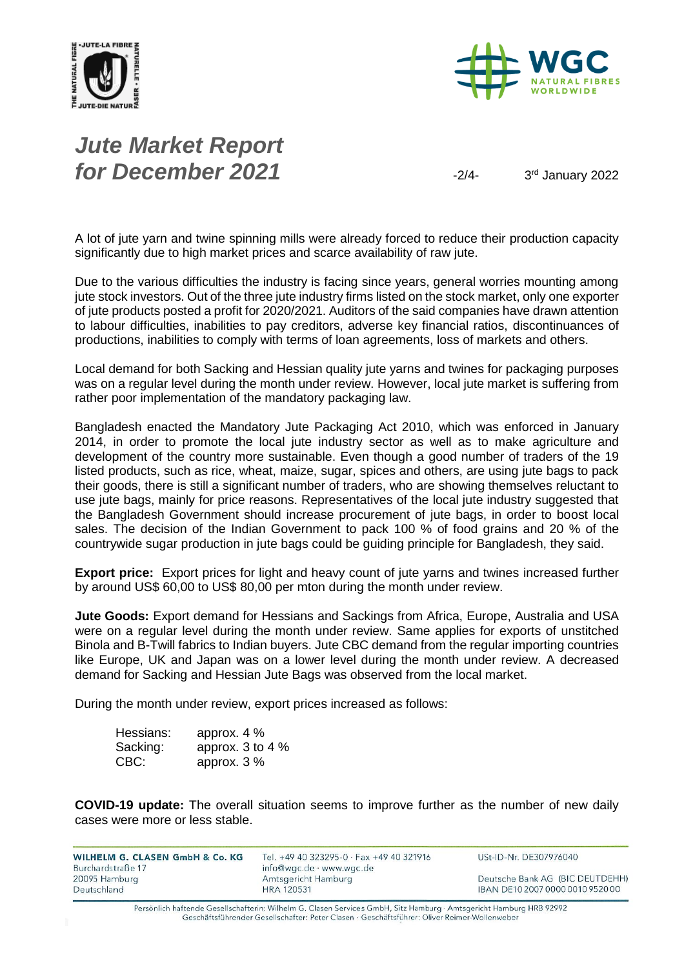



# *Jute Market Report for December 2021*  $\frac{3}{4}$

3rd January 2022

A lot of jute yarn and twine spinning mills were already forced to reduce their production capacity significantly due to high market prices and scarce availability of raw jute.

Due to the various difficulties the industry is facing since years, general worries mounting among jute stock investors. Out of the three jute industry firms listed on the stock market, only one exporter of jute products posted a profit for 2020/2021. Auditors of the said companies have drawn attention to labour difficulties, inabilities to pay creditors, adverse key financial ratios, discontinuances of productions, inabilities to comply with terms of loan agreements, loss of markets and others.

Local demand for both Sacking and Hessian quality jute yarns and twines for packaging purposes was on a regular level during the month under review. However, local jute market is suffering from rather poor implementation of the mandatory packaging law.

Bangladesh enacted the Mandatory Jute Packaging Act 2010, which was enforced in January 2014, in order to promote the local jute industry sector as well as to make agriculture and development of the country more sustainable. Even though a good number of traders of the 19 listed products, such as rice, wheat, maize, sugar, spices and others, are using jute bags to pack their goods, there is still a significant number of traders, who are showing themselves reluctant to use jute bags, mainly for price reasons. Representatives of the local jute industry suggested that the Bangladesh Government should increase procurement of jute bags, in order to boost local sales. The decision of the Indian Government to pack 100 % of food grains and 20 % of the countrywide sugar production in jute bags could be guiding principle for Bangladesh, they said.

**Export price:** Export prices for light and heavy count of jute yarns and twines increased further by around US\$ 60,00 to US\$ 80,00 per mton during the month under review.

**Jute Goods:** Export demand for Hessians and Sackings from Africa, Europe, Australia and USA were on a regular level during the month under review. Same applies for exports of unstitched Binola and B-Twill fabrics to Indian buyers. Jute CBC demand from the regular importing countries like Europe, UK and Japan was on a lower level during the month under review. A decreased demand for Sacking and Hessian Jute Bags was observed from the local market.

During the month under review, export prices increased as follows:

| Hessians: | approx. $4\%$        |
|-----------|----------------------|
| Sacking:  | approx. $3$ to $4\%$ |
| CBC:      | approx. $3\%$        |

**COVID-19 update:** The overall situation seems to improve further as the number of new daily cases were more or less stable.

| WILHELM G. CLASEN GmbH & Co. KG    | Tel. +49 40 323295-0 $\cdot$ Fax +49 40 321916        | USt-ID-Nr. DE307976040           |
|------------------------------------|-------------------------------------------------------|----------------------------------|
| Burchardstraße 17<br>20095 Hamburg | $info@wqc.de \cdot www.wqc.de$<br>Amtsgericht Hamburg | Deutsche Bank AG (BIC DEUTDEHH)  |
| Deutschland                        | <b>HRA 120531</b>                                     | IBAN DE10 2007 0000 0010 9520 00 |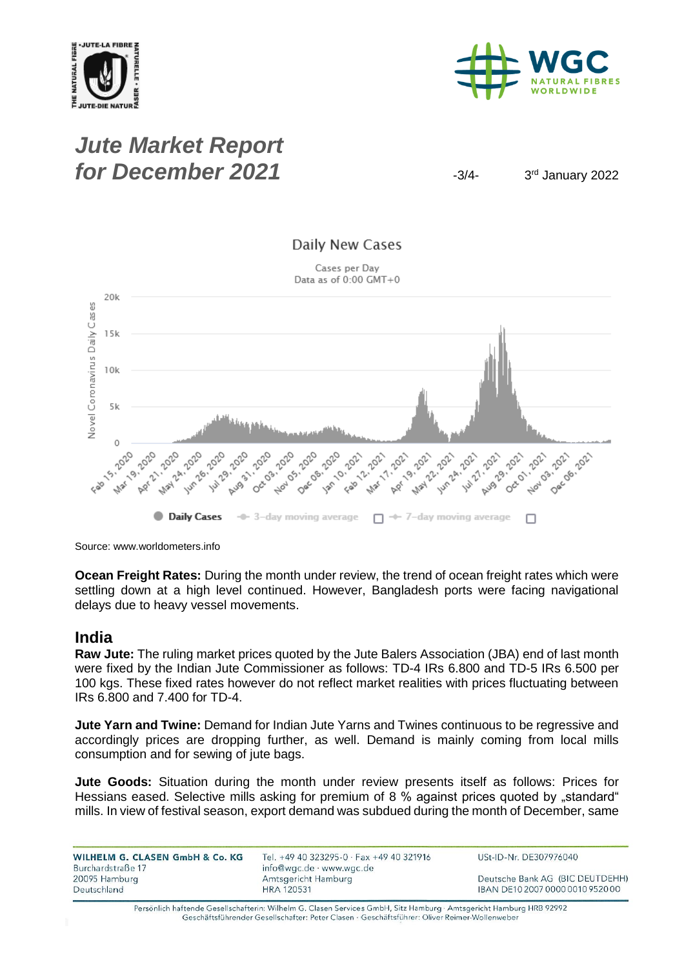



## *Jute Market Report for December 2021*  $\frac{3}{4}$

3rd January 2022



Source: www.worldometers.info

**Ocean Freight Rates:** During the month under review, the trend of ocean freight rates which were settling down at a high level continued. However, Bangladesh ports were facing navigational delays due to heavy vessel movements.

#### **India**

**Raw Jute:** The ruling market prices quoted by the Jute Balers Association (JBA) end of last month were fixed by the Indian Jute Commissioner as follows: TD-4 IRs 6.800 and TD-5 IRs 6.500 per 100 kgs. These fixed rates however do not reflect market realities with prices fluctuating between IRs 6.800 and 7.400 for TD-4.

**Jute Yarn and Twine:** Demand for Indian Jute Yarns and Twines continuous to be regressive and accordingly prices are dropping further, as well. Demand is mainly coming from local mills consumption and for sewing of jute bags.

**Jute Goods:** Situation during the month under review presents itself as follows: Prices for Hessians eased. Selective mills asking for premium of 8 % against prices quoted by "standard" mills. In view of festival season, export demand was subdued during the month of December, same

WILHELM G. CLASEN GmbH & Co. KG Burchardstraße 17 20095 Hamburg Deutschland

Tel. +49 40 323295-0 · Fax +49 40 321916 info@wgc.de · www.wgc.de Amtsgericht Hamburg **HRA 120531** 

USt-ID-Nr. DE307976040

Deutsche Bank AG (BIC DEUTDEHH) IBAN DE10 2007 0000 0010 9520 00